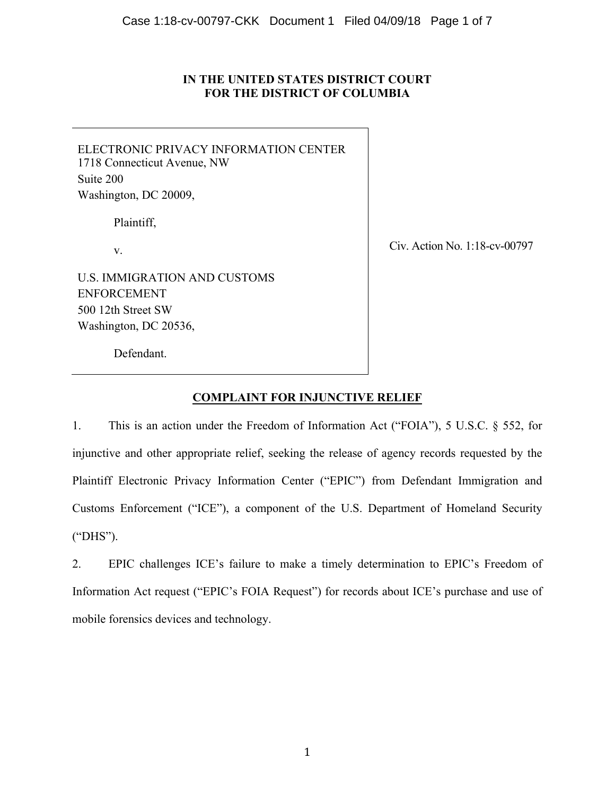## **IN THE UNITED STATES DISTRICT COURT FOR THE DISTRICT OF COLUMBIA**

ELECTRONIC PRIVACY INFORMATION CENTER 1718 Connecticut Avenue, NW Suite 200 Washington, DC 20009,

Plaintiff,

v.

U.S. IMMIGRATION AND CUSTOMS ENFORCEMENT 500 12th Street SW Washington, DC 20536,

Civ. Action No. 1:18-cv-00797

Defendant.

# **COMPLAINT FOR INJUNCTIVE RELIEF**

1. This is an action under the Freedom of Information Act ("FOIA"), 5 U.S.C. § 552, for injunctive and other appropriate relief, seeking the release of agency records requested by the Plaintiff Electronic Privacy Information Center ("EPIC") from Defendant Immigration and Customs Enforcement ("ICE"), a component of the U.S. Department of Homeland Security ("DHS").

2. EPIC challenges ICE's failure to make a timely determination to EPIC's Freedom of Information Act request ("EPIC's FOIA Request") for records about ICE's purchase and use of mobile forensics devices and technology.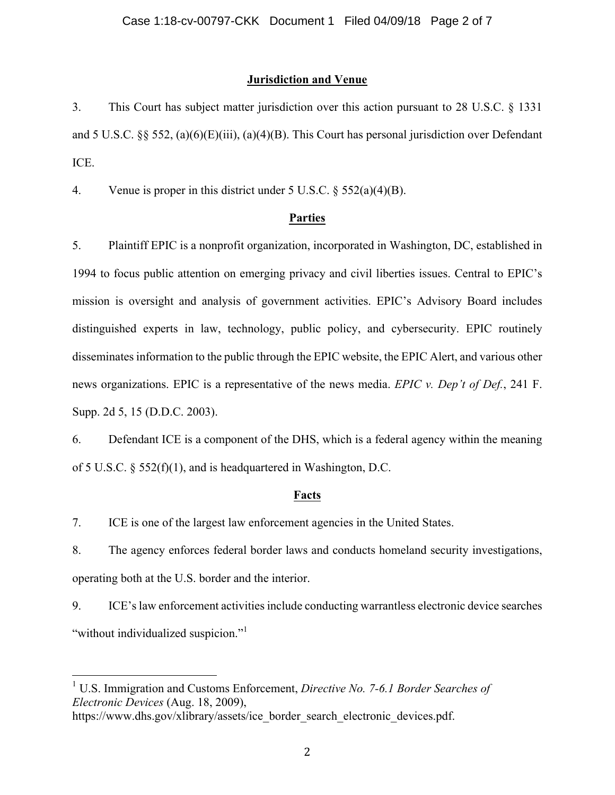#### **Jurisdiction and Venue**

3. This Court has subject matter jurisdiction over this action pursuant to 28 U.S.C. § 1331 and 5 U.S.C. §§ 552, (a)(6)(E)(iii), (a)(4)(B). This Court has personal jurisdiction over Defendant ICE.

4. Venue is proper in this district under 5 U.S.C. § 552(a)(4)(B).

### **Parties**

5. Plaintiff EPIC is a nonprofit organization, incorporated in Washington, DC, established in 1994 to focus public attention on emerging privacy and civil liberties issues. Central to EPIC's mission is oversight and analysis of government activities. EPIC's Advisory Board includes distinguished experts in law, technology, public policy, and cybersecurity. EPIC routinely disseminates information to the public through the EPIC website, the EPIC Alert, and various other news organizations. EPIC is a representative of the news media. *EPIC v. Dep't of Def.*, 241 F. Supp. 2d 5, 15 (D.D.C. 2003).

6. Defendant ICE is a component of the DHS, which is a federal agency within the meaning of 5 U.S.C. § 552(f)(1), and is headquartered in Washington, D.C.

#### **Facts**

7. ICE is one of the largest law enforcement agencies in the United States.

8. The agency enforces federal border laws and conducts homeland security investigations, operating both at the U.S. border and the interior.

9. ICE's law enforcement activities include conducting warrantless electronic device searches "without individualized suspicion."<sup>1</sup>

 <sup>1</sup> U.S. Immigration and Customs Enforcement, *Directive No. 7-6.1 Border Searches of Electronic Devices* (Aug. 18, 2009),

https://www.dhs.gov/xlibrary/assets/ice\_border\_search\_electronic\_devices.pdf.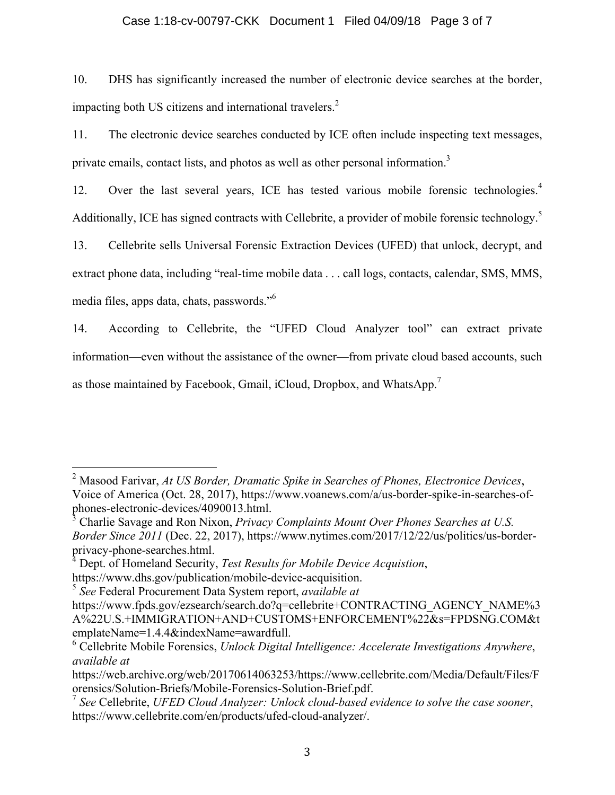### Case 1:18-cv-00797-CKK Document 1 Filed 04/09/18 Page 3 of 7

10. DHS has significantly increased the number of electronic device searches at the border, impacting both US citizens and international travelers.<sup>2</sup>

11. The electronic device searches conducted by ICE often include inspecting text messages, private emails, contact lists, and photos as well as other personal information.<sup>3</sup>

12. Over the last several years, ICE has tested various mobile forensic technologies.<sup>4</sup> Additionally, ICE has signed contracts with Cellebrite, a provider of mobile forensic technology.<sup>5</sup>

13. Cellebrite sells Universal Forensic Extraction Devices (UFED) that unlock, decrypt, and extract phone data, including "real-time mobile data . . . call logs, contacts, calendar, SMS, MMS, media files, apps data, chats, passwords." 6

14. According to Cellebrite, the "UFED Cloud Analyzer tool" can extract private information—even without the assistance of the owner—from private cloud based accounts, such as those maintained by Facebook, Gmail, iCloud, Dropbox, and WhatsApp.<sup>7</sup>

 <sup>2</sup> Masood Farivar, *At US Border, Dramatic Spike in Searches of Phones, Electronice Devices*, Voice of America (Oct. 28, 2017), https://www.voanews.com/a/us-border-spike-in-searches-ofphones-electronic-devices/4090013.html.<br><sup>3</sup> Charlie Savage and Ron Nixon, *Privacy Complaints Mount Over Phones Searches at U.S.* 

*Border Since 2011* (Dec. 22, 2017), https://www.nytimes.com/2017/12/22/us/politics/us-border-

privacy-phone-searches.html.<br><sup>4</sup> Dept. of Homeland Security, *Test Results for Mobile Device Acquistion*,<br>https://www.dhs.gov/publication/mobile-device-acquisition.

<sup>&</sup>lt;sup>5</sup> See Federal Procurement Data System report, *available at* 

https://www.fpds.gov/ezsearch/search.do?q=cellebrite+CONTRACTING\_AGENCY\_NAME%3 A%22U.S.+IMMIGRATION+AND+CUSTOMS+ENFORCEMENT%22&s=FPDSNG.COM&t emplateName=1.4.4&indexName=awardfull.<br><sup>6</sup> Cellebrite Mobile Forensics, *Unlock Digital Intelligence: Accelerate Investigations Anywhere*,

*available at*

https://web.archive.org/web/20170614063253/https://www.cellebrite.com/Media/Default/Files/F orensics/Solution-Briefs/Mobile-Forensics-Solution-Brief.pdf. <sup>7</sup> *See* Cellebrite, *UFED Cloud Analyzer: Unlock cloud-based evidence to solve the case sooner*,

https://www.cellebrite.com/en/products/ufed-cloud-analyzer/.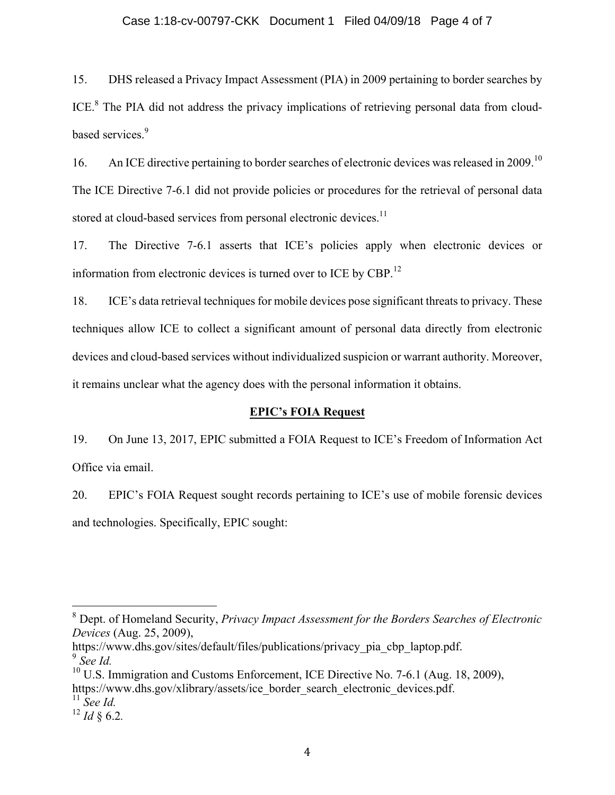#### Case 1:18-cv-00797-CKK Document 1 Filed 04/09/18 Page 4 of 7

15. DHS released a Privacy Impact Assessment (PIA) in 2009 pertaining to border searches by ICE.<sup>8</sup> The PIA did not address the privacy implications of retrieving personal data from cloudbased services.<sup>9</sup>

16. An ICE directive pertaining to border searches of electronic devices was released in 2009.<sup>10</sup> The ICE Directive 7-6.1 did not provide policies or procedures for the retrieval of personal data stored at cloud-based services from personal electronic devices.<sup>11</sup>

17. The Directive 7-6.1 asserts that ICE's policies apply when electronic devices or information from electronic devices is turned over to ICE by CBP.<sup>12</sup>

18. ICE's data retrieval techniques for mobile devices pose significant threats to privacy. These techniques allow ICE to collect a significant amount of personal data directly from electronic devices and cloud-based services without individualized suspicion or warrant authority. Moreover, it remains unclear what the agency does with the personal information it obtains.

### **EPIC's FOIA Request**

19. On June 13, 2017, EPIC submitted a FOIA Request to ICE's Freedom of Information Act Office via email.

20. EPIC's FOIA Request sought records pertaining to ICE's use of mobile forensic devices and technologies. Specifically, EPIC sought:

 <sup>8</sup> Dept. of Homeland Security, *Privacy Impact Assessment for the Borders Searches of Electronic Devices* (Aug. 25, 2009),

https://www.dhs.gov/sites/default/files/publications/privacy\_pia\_cbp\_laptop.pdf. <sup>9</sup> *See Id.*

<sup>&</sup>lt;sup>10</sup> U.S. Immigration and Customs Enforcement, ICE Directive No. 7-6.1 (Aug. 18, 2009), https://www.dhs.gov/xlibrary/assets/ice\_border\_search\_electronic\_devices.pdf. <sup>11</sup> *See Id.*

 $^{12}$  *Id* § 6.2.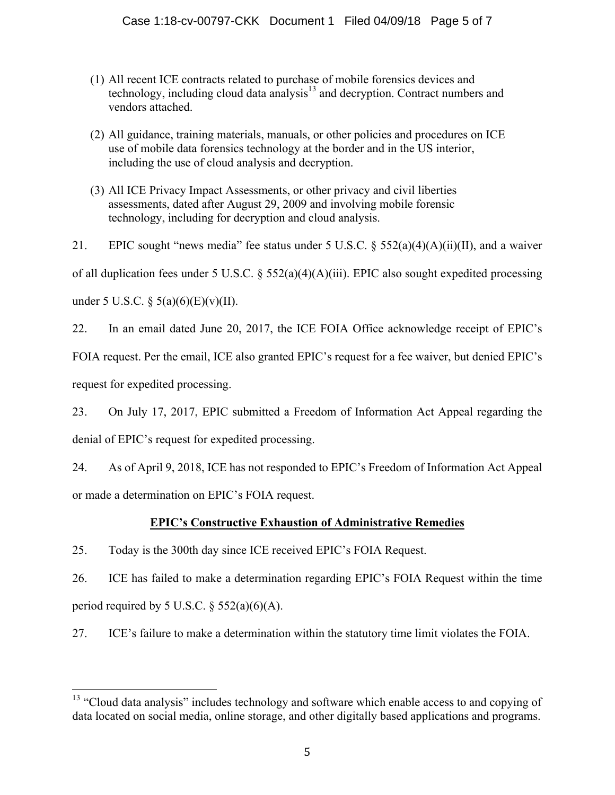- (1) All recent ICE contracts related to purchase of mobile forensics devices and technology, including cloud data analysis $13$  and decryption. Contract numbers and vendors attached.
- (2) All guidance, training materials, manuals, or other policies and procedures on ICE use of mobile data forensics technology at the border and in the US interior, including the use of cloud analysis and decryption.
- (3) All ICE Privacy Impact Assessments, or other privacy and civil liberties assessments, dated after August 29, 2009 and involving mobile forensic technology, including for decryption and cloud analysis.

21. EPIC sought "news media" fee status under 5 U.S.C.  $\S$  552(a)(4)(A)(ii)(II), and a waiver of all duplication fees under 5 U.S.C. § 552(a)(4)(A)(iii). EPIC also sought expedited processing under 5 U.S.C.  $\S$  5(a)(6)(E)(v)(II).

22. In an email dated June 20, 2017, the ICE FOIA Office acknowledge receipt of EPIC's FOIA request. Per the email, ICE also granted EPIC's request for a fee waiver, but denied EPIC's request for expedited processing.

23. On July 17, 2017, EPIC submitted a Freedom of Information Act Appeal regarding the denial of EPIC's request for expedited processing.

24. As of April 9, 2018, ICE has not responded to EPIC's Freedom of Information Act Appeal or made a determination on EPIC's FOIA request.

# **EPIC's Constructive Exhaustion of Administrative Remedies**

25. Today is the 300th day since ICE received EPIC's FOIA Request.

26. ICE has failed to make a determination regarding EPIC's FOIA Request within the time period required by 5 U.S.C.  $\S$  552(a)(6)(A).

27. ICE's failure to make a determination within the statutory time limit violates the FOIA.

 $13$  "Cloud data analysis" includes technology and software which enable access to and copying of data located on social media, online storage, and other digitally based applications and programs.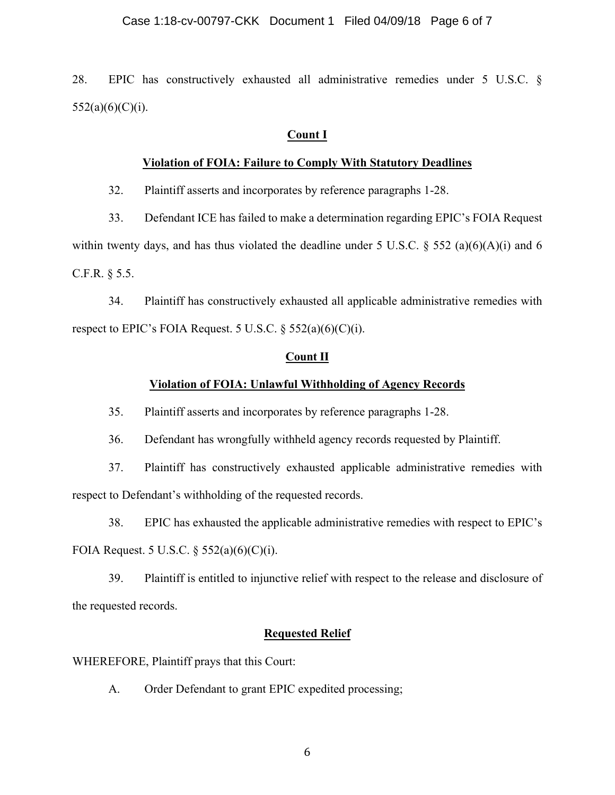28. EPIC has constructively exhausted all administrative remedies under 5 U.S.C. §  $552(a)(6)(C)(i)$ .

## **Count I**

## **Violation of FOIA: Failure to Comply With Statutory Deadlines**

32. Plaintiff asserts and incorporates by reference paragraphs 1-28.

33. Defendant ICE has failed to make a determination regarding EPIC's FOIA Request within twenty days, and has thus violated the deadline under 5 U.S.C. § 552 (a)(6)(A)(i) and 6 C.F.R. § 5.5.

34. Plaintiff has constructively exhausted all applicable administrative remedies with respect to EPIC's FOIA Request. 5 U.S.C.  $\S$  552(a)(6)(C)(i).

## **Count II**

# **Violation of FOIA: Unlawful Withholding of Agency Records**

35. Plaintiff asserts and incorporates by reference paragraphs 1-28.

36. Defendant has wrongfully withheld agency records requested by Plaintiff.

37. Plaintiff has constructively exhausted applicable administrative remedies with respect to Defendant's withholding of the requested records.

38. EPIC has exhausted the applicable administrative remedies with respect to EPIC's

FOIA Request. 5 U.S.C.  $\S$  552(a)(6)(C)(i).

39. Plaintiff is entitled to injunctive relief with respect to the release and disclosure of the requested records.

# **Requested Relief**

WHEREFORE, Plaintiff prays that this Court:

A. Order Defendant to grant EPIC expedited processing;